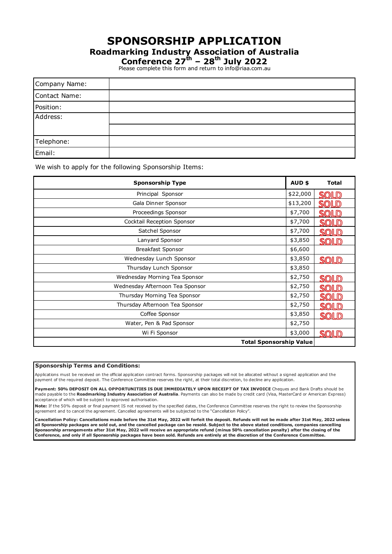### **SPONSORSHIP APPLICATION**

**Roadmarking Industry Association of Australia**

**Conference 27th – 28th July 2022**

Please complete this form and return to info@riaa.com.au

| Company Name: |  |
|---------------|--|
| Contact Name: |  |
| Position:     |  |
| Address:      |  |
|               |  |
| Telephone:    |  |
| Email:        |  |

We wish to apply for the following Sponsorship Items:

| <b>Sponsorship Type</b>         | AUD \$   | <b>Total</b> |
|---------------------------------|----------|--------------|
| Principal Sponsor               | \$22,000 | ସଲା          |
| Gala Dinner Sponsor             | \$13,200 |              |
| Proceedings Sponsor             | \$7,700  |              |
| Cocktail Reception Sponsor      | \$7,700  |              |
| Satchel Sponsor                 | \$7,700  |              |
| Lanyard Sponsor                 | \$3,850  | SOLD         |
| Breakfast Sponsor               | \$6,600  |              |
| Wednesday Lunch Sponsor         | \$3,850  | <b>SOLD</b>  |
| Thursday Lunch Sponsor          | \$3,850  |              |
| Wednesday Morning Tea Sponsor   | \$2,750  |              |
| Wednesday Afternoon Tea Sponsor | \$2,750  |              |
| Thursday Morning Tea Sponsor    | \$2,750  |              |
| Thursday Afternoon Tea Sponsor  | \$2,750  |              |
| Coffee Sponsor                  |          | <b>SOLD</b>  |
| Water, Pen & Pad Sponsor        | \$2,750  |              |
| Wi Fi Sponsor                   | \$3,000  | SOLD         |
| <b>Total Sponsorship Value</b>  |          |              |

### **Sponsorship Terms and Conditions:**

Applications must be received on the official application contract forms. Sponsorship packages will not be allocated without a signed application and the payment of the required deposit. The Conference Committee reserves the right, at their total discretion, to decline any application.

Payment: 50% DEPOSIT ON ALL OPPORTUNITIES IS DUE IMMEDIATELY UPON RECEIPT OF TAX INVOICE Cheques and Bank Drafts should be made payable to the **Roadmarking Industry Association of Australia**. Payments can also be made by credit card (Visa, MasterCard or American Express) acceptance of which will be subject to approved authorisation.

Note: If the 50% deposit or final payment IS not received by the specified dates, the Conference Committee reserves the right to review the Sponsorship agreement and to cancel the agreement. Cancelled agreements will be subjected to the "Cancellation Policy".

**Cancellation Policy: Cancellations made before the 31st May, 2022 will forfeit the deposit. Refunds will not be made after 31st May, 2022 unless all Sponsorship packages are sold out, and the cancelled package can be resold. Subject to the above stated conditions, companies cancelling Sponsorship arrangements after 31st May, 2022 will receive an appropriate refund (minus 50% cancellation penalty) after the closing of the Conference, and only if all Sponsorship packages have been sold. Refunds are entirely at the discretion of the Conference Committee.**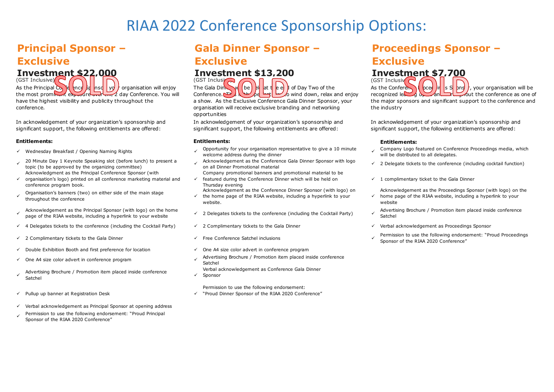# **Principal Sponsor – Exclusive**

### **Investment \$22,000**

As the Principal Conferrince  $\frac{1}{2}$  and  $\frac{1}{2}$  organisation will enjoy the most prominent exposure over the 2 day Conference. You will have the highest visibility and publicity throughout the conference. (GST Inclusive)

In acknowledgement of your organization's sponsorship and significant support, the following entitlements are offered:

### **Entitlements:**

- 
- 20 Minute Day 1 Keynote Speaking slot (before lunch) to present a topic (to be approved by the organizing committee) Acknowledgment as the Principal Conference Sponsor (with
- ü organisation's logo) printed on all conference marketing material and conference program book.
- <sup>ü</sup> Organisation's banners (two) on either side of the main stage throughout the conference
- Acknowledgement as the Principal Sponsor (with logo) on the home<br>page of the RTAA website, including a hyperlink to your website
- $\checkmark$  4 Delegates tickets to the conference (including the Cocktail Party)  $\checkmark$  2 Complimentary tickets to the Gala Dinner  $\checkmark$  Verbal acknowledgement as Proceedings Sponsor
- 
- $\checkmark$  Double Exhibition Booth and first preference for location  $\checkmark$  One A4 size color advert in conference program
- 
- Advertising Brochure / Promotion item placed inside conference<br>Satchel Satchel <sup>ü</sup>
- $\checkmark$  Pullup up banner at Registration Desk  $\checkmark$
- $\checkmark$  Verbal acknowledgement as Principal Sponsor at opening address
- Permission to use the following endorsement: "Proud Principal Sponsor of the RIAA 2020 Conference"

# **Gala Dinner Sponsor – Exclusive**

### **Investment \$13,200**

 $(GST$  Inclusi $\rightarrow$ The Gala Din  $\mathbb{N}$  (be) at the end of Day Two of the Conference. This is the perfect wind down, relax and enjoy a show. As the Exclusive Conference Gala Dinner Sponsor, your organisation will receive exclusive branding and networking opportunities

In acknowledgement of your organization's sponsorship and significant support, the following entitlements are offered:

### **Entitlements:**

- Wednesday Breakfast / Opening Naming Rights variation welcome address during the dinner in the dinner of the distributed to all delegates.<br>Welcome address during the dinner will be distributed to all delegates. Welcome in
	- Acknowledgement as the Conference Gala Dinner Sponsor with logo<br>on all Dinner Promotional material
	- Company promotional banners and promotional material to be
	- $\checkmark$  featured during the Conference Dinner which will be held on Thursday evening
	- Acknowledgement as the Conference Dinner Sponsor (with logo) on the home page of the RIAA website, including a hyperlink to your
	- website.
	-
	-
	-
	-
- ← One A4 size color advert in conference program vertical metal and a state of Advertising Brochure / Promotion item placed inside conference Satchel
	- Verbal acknowledgement as Conference Gala Dinner
	- Sponsor
	- Permission to use the following endorsement:
	- "Proud Dinner Sponsor of the RIAA 2020 Conference"

# **Proceedings Sponsor – Exclusive**

## **Investment \$7,700**

(GST Inclusiv $\bigcap$ As the Conference I  $\log$   $\frac{1}{2}$  oceed  $\frac{1}{2}$  in  $\frac{1}{2}$  s S  $\frac{1}{2}$  bns  $\frac{1}{2}$ , your organisation will be recognized leading up and the conference as one of the major sponsors and significant support to the conference and the industry

In acknowledgement of your organization's sponsorship and significant support, the following entitlements are offered:

### **Entitlements:**

- will be distributed to all delegates.
- $\checkmark$  2 Delegate tickets to the conference (including cocktail function)
- $\checkmark$  1 complimentary ticket to the Gala Dinner

 $\checkmark$  home page of the RIAA website, including a hyperlink to your Acknowledgement as the Proceedings Sponsor (with logo) on the website

- $\checkmark$  2 Delegates tickets to the conference (including the Cocktail Party) advertising Brochure / Promotion item placed inside conference Satchel
	-
- <sup>ü</sup> 2 Complimentary tickets to the Gala Dinner <sup>ü</sup> Free Conference Satchel inclusions <sup>ü</sup> Permission to use the following endorsement: "Proud Proceedings Sponsor of the RIAA 2020 Conference"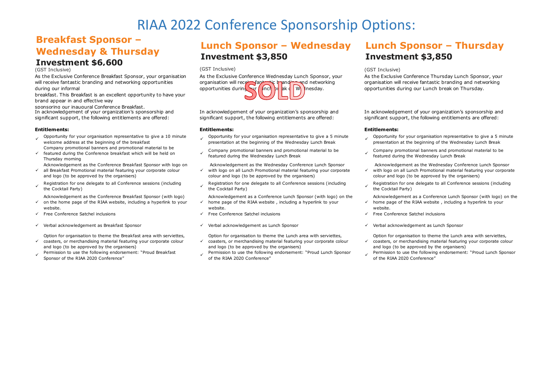## **Breakfast Sponsor – Wednesday & Thursday**

# **Investment \$6,600**

(GST Inclusive) (GST Inclusive) (GST Inclusive)

As the Exclusive Conference Breakfast Sponsor, your organisation will receive fantastic branding and networking opportunities during our informal

breakfast. This Breakfast is an excellent opportunity to have your brand appear in and effective way

sponsoring our inaugural Conference Breakfast. In acknowledgement of your organization's sponsorship and significant support, the following entitlements are offered:

### **Entitlements:**

- Opportunity for your organisation representative to give a 10 minute  $\longrightarrow$  Opportunity for your organisation representative to give a 5 minute welcome address at the beginning of the Wednesday Lunch Break Company promotional banners and promotional material to be
- $\checkmark$  featured during the Conference breakfast which will be held on Thursday morning

Acknowledgement as the Conference Breakfast Sponsor with logo on

- ü all Breakfast Promotional material featuring your corporate colour and logo (to be approved by the organisers)
- Registration for one delegate to all Conference sessions (including<br>the Cocktail Party)

 $\checkmark$  on the home page of the RIAA website, including a hyperlink to your Acknowledgement as the Conference Breakfast Sponsor (with logo)

- website.
- 
- v Verbal acknowledgement as Breakfast Sponsor in Sponsor v Verbal acknowledgement as Lunch Sponsor in Verbal acknowledgement as Lunch Sponsor
- ü Option for organisation to theme the Breakfast area with serviettes, coasters, or merchandising material featuring your corporate colour
- and logo (to be approved by the organisers)
- Permission to use the following endorsement: "Proud Breakfast<br>Sponsor of the RIAA 2020 Conference"

## **Lunch Sponsor – Wednesday Investment \$3,850**



In acknowledgement of your organization's sponsorship and significant support, the following entitlements are offered:

### **Entitlements:**

- 
- Company promotional banners and promotional material to be featured during the Wednesday Lunch Break

Acknowledgement as the Wednesday Conference Lunch Sponsor

- $\checkmark$  with logo on all Lunch Promotional material featuring your corporate colour and logo (to be approved by the organisers)
- Registration for one delegate to all Conference sessions (including<br>the Cocktail Party)
- $\checkmark$  home page of the RIAA website , including a hyperlink to your Acknowledgement as a Conference Lunch Sponsor (with logo) on the
- website.
- 
- 

Option for organisation to theme the Lunch area with serviettes,

- $\checkmark$  coasters, or merchandising material featuring your corporate colour and logo (to be approved by the organisers)
- Permission to use the following endorsement: "Proud Lunch Sponsor<br>of the RIAA 2020 Conference"

## **Lunch Sponsor – Thursday Investment \$3,850**

As the Exclusive Conference Thursday Lunch Sponsor, your organisation will receive fantastic branding and networking opportunities during our Lunch break on Thursday.

In acknowledgement of your organization's sponsorship and significant support, the following entitlements are offered:

### **Entitlements:**

- Opportunity for your organisation representative to give a 5 minute  $\hspace{1cm}$  Opportunity for your organisation representative to give a 5 minute presentation at the beginning of the Wednesday Lunch Break presentation at t
	- Company promotional banners and promotional material to be featured during the Wednesday Lunch Break
	- Acknowledgement as the Wednesday Conference Lunch Sponsor with logo on all Lunch Promotional material featuring your corporate
	- $\checkmark$ colour and logo (to be approved by the organisers)
	- Registration for one delegate to all Conference sessions (including the Cocktail Party)
	- ü Acknowledgement as a Conference Lunch Sponsor (with logo) on the home page of the RIAA website , including a hyperlink to your website.
- Free Conference Satchel inclusions inclusions vertical and the Conference Satchel inclusions vertical inclusions vertical inclusions vertical inclusions vertical inclusions vertical inclusions vertical inclusions vertical
	-

Option for organisation to theme the Lunch area with serviettes,

- ü coasters, or merchandising material featuring your corporate colour and logo (to be approved by the organisers)
- Permission to use the following endorsement: "Proud Lunch Sponsor of the RIAA 2020 Conference"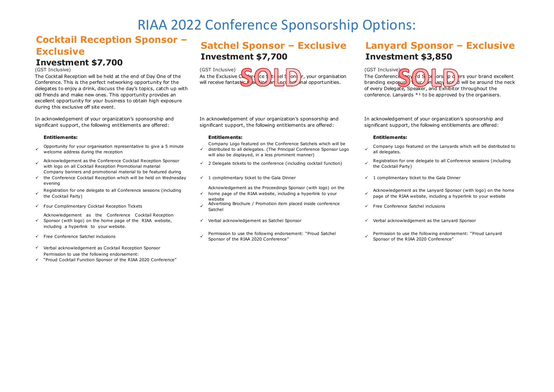## **Cocktail Reception Sponsor – Exclusive**

# **Investment \$7,700**

The Cocktail Reception will be held at the end of Day One of the Conference. This is the perfect networking opportunity for the delegates to enjoy a drink, discuss the day's topics, catch up with old friends and make new ones. This opportunity provides an excellent opportunity for your business to obtain high exposure during this exclusive off site event.

In acknowledgement of your organization's sponsorship and significant support, the following entitlements are offered:

- Opportunity for your organisation representative to give a 5 minute welcome address during the reception
- Acknowledgement as the Conference Cocktail Reception Sponsor with logo on all Cocktail Reception Promotional material Company banners and promotional material to be featured during
- $\checkmark$  the Conference Cocktail Reception which will be held on Wednesday evening
- <sup>ü</sup> Registration for one delegate to all Conference sessions (including the Cocktail Party)
- v Four Complimentary Cocktail Reception Tickets v Advertising Brown inside conference conference conference conference conference conference conference conference conference conference conference conference conference conf
- $\checkmark$  Sponsor (with logo) on the home page of the RIAA website, Acknowledgement as the Conference Cocktail Reception including a hyperlink to your website.
- 
- $V$  Verbal acknowledgement as Cocktail Reception Sponsor Permission to use the following endorsement:
- ü "Proud Cocktail Function Sponsor of the RIAA 2020 Conference"

## **Satchel Sponsor – Exclusive Investment \$7,700**



In acknowledgement of your organization's sponsorship and significant support, the following entitlements are offered:

### **Entitlements: Entitlements: Entitlements:**

- Company Logo featured on the Conference Satchels which will be
- $\checkmark$  distributed to all delegates. (The Principal Conference Sponsor Logo will also be displayed, in a less prominent manner)
- 
- $\checkmark$  1 complimentary ticket to the Gala Dinner is the Gala Dinner is the Gala Dinner in  $\checkmark$  1 complimentary ticket to the Gala Dinner
- Acknowledgement as the Proceedings Sponsor (with logo) on the  $\checkmark$  home page of the RIAA website, including a hyperlink to your
- website<br>Advertising Brochure / Promotion item placed inside conference
- 
- 
- 

## **Lanyard Sponsor – Exclusive Investment \$3,850**

The Conference  $\left\{\sqrt{dS}\right\}$  or  $\left\{p\right\}$  ers your brand excellent  $\lim_{n \to \infty}$  or  $\lim_{n \to \infty}$   $\lim_{n \to \infty}$   $\lim_{n \to \infty}$  will be around the neck of every Delegate, Speaker, and Exhibitor throughout the conference. Lanyards  $*1$  to be approved by the organisers.

In acknowledgement of your organization's sponsorship and significant support, the following entitlements are offered:

- Company Logo featured on the Lanyards which will be distributed to all delegates.
- $\checkmark$  2 Delegate tickets to the conference (including cocktail function) and  $\checkmark$  Registration for one delegate to all Conference sessions (including the Cocktail Party)
	-
	- Acknowledgement as the Lanyard Sponsor (with logo) on the home page of the RIAA website, including a hyperlink to your website
	- $\checkmark$  Free Conference Satchel inclusions
- $\checkmark$  Verbal acknowledgement as Satchel Sponsor in the Unit of Verbal acknowledgement as the Lanyard Sponsor
- <sup>ü</sup> Free Conference Satchel inclusions <sup>ü</sup> Permission to use the following endorsement: "Proud Satchel Sponsor of the RIAA 2020 Conference" <sup>ü</sup> Permission to use the following endorsement: "Proud Lanyard Sponsor of the RIAA 2020 Conference"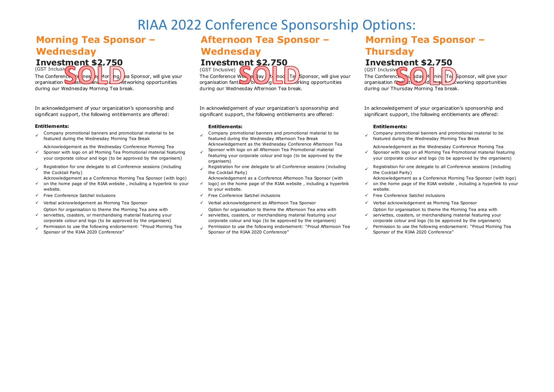## **Morning Tea Sponsor – Wednesday**

**Investment \$2,750** 

The Conference  $\mathcal{N}_4$  (nes) by Mori ng) ea Sponsor, will give your organisation **Kast And And Act working opportunities** during our Wednesday Morning Tea break.

In acknowledgement of your organization's sponsorship and significant support, the following entitlements are offered:

### **Entitlements:**

Company promotional banners and promotional material to be vertured to many promotional banners and promotional material to be ved featured during the Wednesday Aftemoon Tea Break vertured during the Wednesday Aftemoon Tea

Acknowledgement as the Wednesday Conference Morning Tea

- ü Sponsor with logo on all Morning Tea Promotional material featuring your corporate colour and logo (to be approved by the organisers)
- Registration for one delegate to all Conference sessions (including the Cocktail Party)

Acknowledgement as a Conference Morning Tea Sponsor (with logo)

- ü on the home page of the RIAA website , including a hyperlink to your website.
- 
- 
- ü Option for organisation to theme the Morning Tea area with serviettes, coasters, or merchandising material featuring your corporate colour and logo (to be approved by the organisers)
- Permission to use the following endorsement: "Proud Morning Tea<br>Sponsor of the RIAA 2020 Conference"

## **Afternoon Tea Sponsor – Wednesday**

# **Investment \$2,750**

The Conference Wednesday  $\frac{1}{k}$  noon Tea Sponsor, will give your organisation fantastic brand networking opportunities during our Wednesday Afternoon Tea break.

In acknowledgement of your organization's sponsorship and significant support, the following entitlements are offered:

- Acknowledgement as the Wednesday Conference Afternoon Tea
- ü Sponsor with logo on all Afternoon Tea Promotional material featuring your corporate colour and logo (to be approved by the organisers)
- Registration for one delegate to all Conference sessions (including<br>the Cocktail Party)
- Acknowledgement as a Conference Afternoon Tea Sponsor (with
- ü logo) on the home page of the RIAA website , including a hyperlink to your website.
- ü Free Conference Satchel inclusions ü Free Conference Satchel inclusions ü Free Conference Satchel inclusions
- $\checkmark$  Verbal acknowledgement as Morning Tea Sponsor  $\checkmark$  Verbal acknowledgement as Afternoon Tea Sponsor  $\checkmark$  Verbal acknowledgement as Morning Tea Sponsor
	- ü Option for organisation to theme the Afternoon Tea area with serviettes, coasters, or merchandising material featuring your corporate colour and logo (to be approved by the organisers)
	- Permission to use the following endorsement: "Proud Morning Tea when the Following endorsement: "Proud Afternoon Tea y Permission to use the following endorsement: "Proud Morning Tea y Sponsor of the RIAA 2020 Conference"

## **Morning Tea Sponsor – Thursday**

### **Investment \$2,750**

 $T$ The Conference  $T_{\text{tot}}$   $\left(\frac{1}{2}\right)$  M  $\left(\frac{1}{2}\right)$   $T_{\text{eff}}$  Sponsor, will give your organisation for ding and networking opportunities during our Thursday Morning Tea break.  $(GST$  Inclusive

In acknowledgement of your organization's sponsorship and significant support, the following entitlements are offered:

### **Entitlements: Entitlements:**

- Company promotional banners and promotional material to be<br>
featured during the Wednesday Moming Tea Break in the Wednesday Moming Tea Break featured during the Wednesday featured during the Wednesday Morning Tea Break
	- ü Acknowledgement as the Wednesday Conference Morning Tea Sponsor with logo on all Morning Tea Promotional material featuring your corporate colour and logo (to be approved by the organisers)
	- Registration for one delegate to all Conference sessions (including the Cocktail Party)
	- Acknowledgement as a Conference Morning Tea Sponsor (with logo)
	- ü on the home page of the RIAA website , including a hyperlink to your website.
	-
	-
	- ü Option for organisation to theme the Morning Tea area with serviettes, coasters, or merchandising material featuring your corporate colour and logo (to be approved by the organisers)
	- Sponsor of the RIAA 2020 Conference"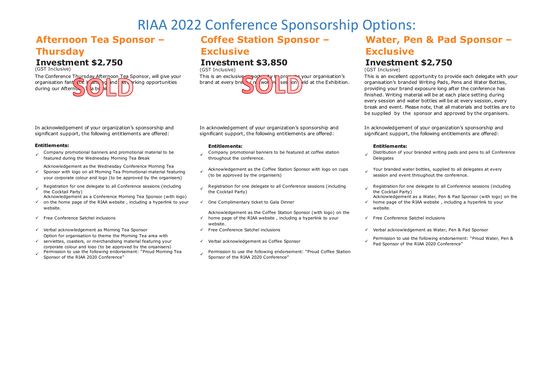## **Afternoon Tea Sponsor – Thursday**

# **Investment \$2,750**

The Conference Thursday Afternoon Tea Sponsor, will give your organisation fant stick  $\sqrt{an}$  of  $\ln d$  et  $\sqrt{r}$  independent opportunities during our Afternoon  $\overline{d}$  la br

### In acknowledgement of your organization's sponsorship and significant support, the following entitlements are offered:

### **Entitlements:**

Company promotional banners and promotional material to be

Acknowledgement as the Wednesday Conference Morning Tea

- $\checkmark$ Sponsor with logo on all Morning Tea Promotional material featuring your corporate colour and logo (to be approved by the organisers)
- Registration for one delegate to all Conference sessions (including<br>the Cocktail Party)
- $\checkmark$  on the home page of the RIAA website , including a hyperlink to your Acknowledgement as a Conference Morning Tea Sponsor (with logo) website.
- $\checkmark$  Free Conference Satchel inclusions
- $\checkmark$  Verbal acknowledgement as Morning Tea Sponsor  $\checkmark$  Free Conference Satchel inclusions  $\checkmark$  Verbal acknowledgement as Water. Pen & Pad Sponsor Option for organisation to theme the Morning Tea area with
- ü serviettes, coasters, or merchandising material featuring your corporate colour and logo (to be approved by the organisers)
- 

## **Coffee Station Sponsor – Exclusive**

# **Investment \$3,850**



In acknowledgement of your organization's sponsorship and significant support, the following entitlements are offered:

- Company promotional banners and promotional material to be vertured company promotional banners to be featured at coffee station featured during the Wednesday Morning Tea Break the conference.
	- Acknowledgement as the Coffee Station Sponsor with logo on cups  $\hspace{1cm}$  Your branded water bottles, supplied to all delegates at every<br>(to be approved by the organisers) under some session and event throughout the confe
	- Registration for one delegate to all Conference sessions (including<br>the Cocktail Party)
	- $\checkmark$  One Complimentary ticket to Gala Dinner  $\checkmark$
	- Acknowledgement as the Coffee Station Sponsor (with logo) on the  $\checkmark$  home page of the RIAA website, including a hyperlink to your website.
	-
	-
- Permission to use the following endorsement: "Proud Morning Tea ermission to use the following endorsement: "Proud Coffee Station (Sponsor of the RIAA 2020 Conference of the RIAA 2020 Conference in Sponsor of the RIAA 2020 Sponsor of the RIAA 2020 Conference"

## **Water, Pen & Pad Sponsor – Exclusive**

# **Investment \$2,750**

(GST Inclusive) (GST Inclusive) (GST Inclusive)

This is an excellent opportunity to provide each delegate with your organisation's branded Writing Pads, Pens and Water Bottles, providing your brand exposure long after the conference has finished. Writing material will be at each place setting during every session and water bottles will be at every session, every break and event. Please note, that all materials and bottles are to be supplied by the sponsor and approved by the organisers.

In acknowledgement of your organization's sponsorship and significant support, the following entitlements are offered:

### **Entitlements: Entitlements:**

- Distribution of your branded writing pads and pens to all Conference **Delegates**
- session and event throughout the conference
- Registration for one delegate to all Conference sessions (including the Cocktail Party)
- Acknowledgement as a Water, Pen & Pad Sponsor (with logo) on the home page of the RIAA website , including a hyperlink to your website.
- $V$  Free Conference Satchel inclusions
- 
- verbal acknowledgement as Coffee Sponsor in Permission to use the following endorsement: "Proud Water, Pen & Pad Sponsor of the RIAA 2020 Conference"